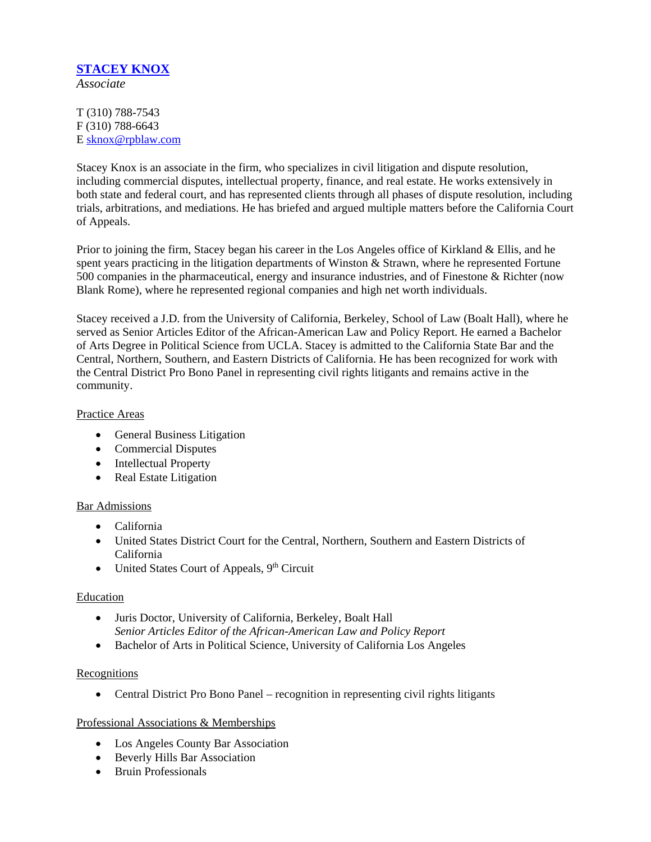# **STACEY KNOX**

*Associate*

T (310) 788-7543 F (310) 788-6643 E sknox@rpblaw.com

Stacey Knox is an associate in the firm, who specializes in civil litigation and dispute resolution, including commercial disputes, intellectual property, finance, and real estate. He works extensively in both state and federal court, and has represented clients through all phases of dispute resolution, including trials, arbitrations, and mediations. He has briefed and argued multiple matters before the California Court of Appeals.

Prior to joining the firm, Stacey began his career in the Los Angeles office of Kirkland & Ellis, and he spent years practicing in the litigation departments of Winston & Strawn, where he represented Fortune 500 companies in the pharmaceutical, energy and insurance industries, and of Finestone & Richter (now Blank Rome), where he represented regional companies and high net worth individuals.

Stacey received a J.D. from the University of California, Berkeley, School of Law (Boalt Hall), where he served as Senior Articles Editor of the African-American Law and Policy Report. He earned a Bachelor of Arts Degree in Political Science from UCLA. Stacey is admitted to the California State Bar and the Central, Northern, Southern, and Eastern Districts of California. He has been recognized for work with the Central District Pro Bono Panel in representing civil rights litigants and remains active in the community.

#### Practice Areas

- General Business Litigation
- Commercial Disputes
- Intellectual Property
- Real Estate Litigation

#### Bar Admissions

- California
- United States District Court for the Central, Northern, Southern and Eastern Districts of California
- United States Court of Appeals,  $9<sup>th</sup>$  Circuit

#### Education

- Juris Doctor, University of California, Berkeley, Boalt Hall *Senior Articles Editor of the African-American Law and Policy Report*
- Bachelor of Arts in Political Science, University of California Los Angeles

#### Recognitions

• Central District Pro Bono Panel – recognition in representing civil rights litigants

#### Professional Associations & Memberships

- Los Angeles County Bar Association
- Beverly Hills Bar Association
- Bruin Professionals